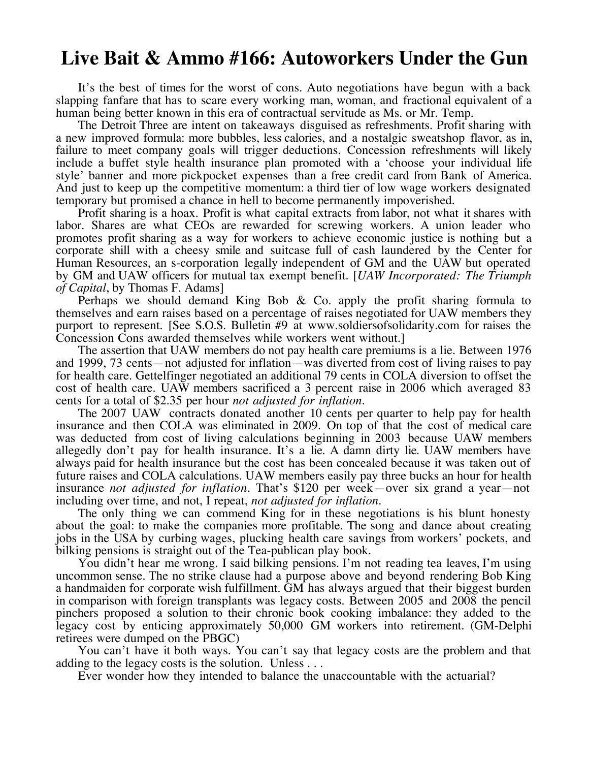## **Live Bait & Ammo #166: Autoworkers Under the Gun**

It's the best of times for the worst of cons. Auto negotiations have begun with a back slapping fanfare that has to scare every working man, woman, and fractional equivalent of a human being better known in this era of contractual servitude as Ms. or Mr. Temp.

The Detroit Three are intent on takeaways disguised as refreshments. Profit sharing with a new improved formula: more bubbles, less calories, and a nostalgic sweatshop flavor, as in, failure to meet company goals will trigger deductions. Concession refreshments will likely include a buffet style health insurance plan promoted with a 'choose your individual life style' banner and more pickpocket expenses than a free credit card from Bank of America. And just to keep up the competitive momentum: a third tier of low wage workers designated temporary but promised a chance in hell to become permanently impoverished.

Profit sharing is a hoax. Profit is what capital extracts from labor, not what it shares with labor. Shares are what CEOs are rewarded for screwing workers. A union leader who promotes profit sharing as a way for workers to achieve economic justice is nothing but a corporate shill with a cheesy smile and suitcase full of cash laundered by the Center for Human Resources, an s-corporation legally independent of GM and the UAW but operated by GM and UAW officers for mutual tax exempt benefit. [*UAW Incorporated: The Triumph of Capital*, by Thomas F. Adams]

Perhaps we should demand King Bob  $\&$  Co. apply the profit sharing formula to themselves and earn raises based on a percentage of raises negotiated for UAW members they purport to represent. [See S.O.S. Bulletin #9 at www.soldiersofsolidarity.com for raises the Concession Cons awarded themselves while workers went without.]

The assertion that UAW members do not pay health care premiums is a lie. Between 1976 and 1999, 73 cents—not adjusted for inflation—was diverted from cost of living raises to pay for health care. Gettelfinger negotiated an additional 79 cents in COLA diversion to offset the cost of health care. UAW members sacrificed a 3 percent raise in 2006 which averaged 83 cents for a total of \$2.35 per hour *not adjusted for inflation*. The 2007 UAW contracts donated another 10 cents per quarter to help pay for health

insurance and then COLA was eliminated in 2009. On top of that the cost of medical care was deducted from cost of living calculations beginning in 2003 because UAW members allegedly don't pay for health insurance. It's a lie. A damn dirty lie. UAW members have always paid for health insurance but the cost has been concealed because it was taken out of future raises and COLA calculations. UAW members easily pay three bucks an hour for health insurance *not adjusted for inflation*. That's \$120 per week—over six grand a year—not including over time, and not, I repeat, *not adjusted for inflation*.

The only thing we can commend King for in these negotiations is his blunt honesty about the goal: to make the companies more profitable. The song and dance about creating jobs in the USA by curbing wages, plucking health care savings from workers' pockets, and bilking pensions is straight out of the Tea-publican play book.

You didn't hear me wrong. I said bilking pensions. I'm not reading tea leaves, I'm using uncommon sense. The no strike clause had a purpose above and beyond rendering Bob King a handmaiden for corporate wish fulfillment. GM has always argued that their biggest burden in comparison with foreign transplants was legacy costs. Between 2005 and 2008 the pencil pinchers proposed a solution to their chronic book cooking imbalance: they added to the legacy cost by enticing approximately 50,000 GM workers into retirement. (GM-Delphi retirees were dumped on the PBGC)

You can't have it both ways. You can't say that legacy costs are the problem and that adding to the legacy costs is the solution. Unless ...

Ever wonder how they intended to balance the unaccountable with the actuarial?